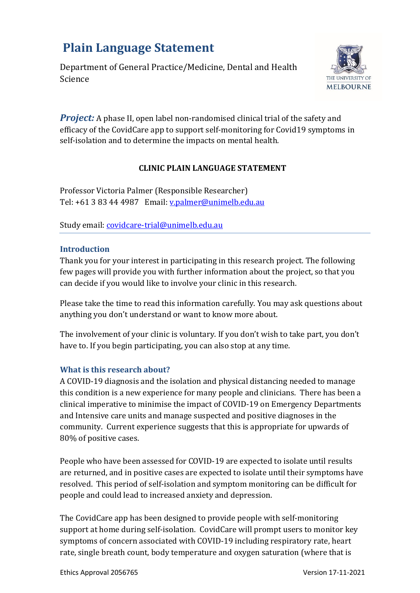# **Plain Language Statement**

Department of General Practice/Medicine, Dental and Health Science



*Project:* A phase II, open label non-randomised clinical trial of the safety and efficacy of the CovidCare app to support self-monitoring for Covid19 symptoms in self-isolation and to determine the impacts on mental health.

# **CLINIC PLAIN LANGUAGE STATEMENT**

Professor Victoria Palmer (Responsible Researcher) Tel: +61 3 83 44 4987 Email: [v.palmer@unimelb.edu.au](mailto:v.palmer@unimelb.edu.au)

Study email: [covidcare-trial@unimelb.edu.au](mailto:covidcare-trial@unimelb.edu.au)

### **Introduction**

Thank you for your interest in participating in this research project. The following few pages will provide you with further information about the project, so that you can decide if you would like to involve your clinic in this research.

Please take the time to read this information carefully. You may ask questions about anything you don't understand or want to know more about.

The involvement of your clinic is voluntary. If you don't wish to take part, you don't have to. If you begin participating, you can also stop at any time.

# **What is this research about?**

A COVID-19 diagnosis and the isolation and physical distancing needed to manage this condition is a new experience for many people and clinicians. There has been a clinical imperative to minimise the impact of COVID-19 on Emergency Departments and Intensive care units and manage suspected and positive diagnoses in the community. Current experience suggests that this is appropriate for upwards of 80% of positive cases.

People who have been assessed for COVID-19 are expected to isolate until results are returned, and in positive cases are expected to isolate until their symptoms have resolved. This period of self-isolation and symptom monitoring can be difficult for people and could lead to increased anxiety and depression.

The CovidCare app has been designed to provide people with self-monitoring support at home during self-isolation. CovidCare will prompt users to monitor key symptoms of concern associated with COVID-19 including respiratory rate, heart rate, single breath count, body temperature and oxygen saturation (where that is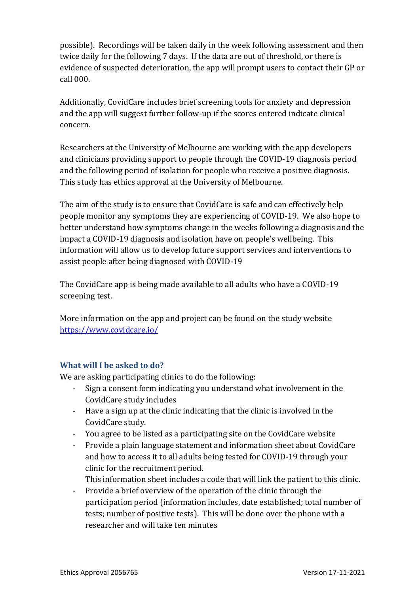possible). Recordings will be taken daily in the week following assessment and then twice daily for the following 7 days. If the data are out of threshold, or there is evidence of suspected deterioration, the app will prompt users to contact their GP or call 000.

Additionally, CovidCare includes brief screening tools for anxiety and depression and the app will suggest further follow-up if the scores entered indicate clinical concern.

Researchers at the University of Melbourne are working with the app developers and clinicians providing support to people through the COVID-19 diagnosis period and the following period of isolation for people who receive a positive diagnosis. This study has ethics approval at the University of Melbourne.

The aim of the study is to ensure that CovidCare is safe and can effectively help people monitor any symptoms they are experiencing of COVID-19. We also hope to better understand how symptoms change in the weeks following a diagnosis and the impact a COVID-19 diagnosis and isolation have on people's wellbeing. This information will allow us to develop future support services and interventions to assist people after being diagnosed with COVID-19

The CovidCare app is being made available to all adults who have a COVID-19 screening test.

More information on the app and project can be found on the study website <https://www.covidcare.io/>

# **What will I be asked to do?**

We are asking participating clinics to do the following:

- Sign a consent form indicating you understand what involvement in the CovidCare study includes
- Have a sign up at the clinic indicating that the clinic is involved in the CovidCare study.
- You agree to be listed as a participating site on the CovidCare website
- Provide a plain language statement and information sheet about CovidCare and how to access it to all adults being tested for COVID-19 through your clinic for the recruitment period.
	- This information sheet includes a code that will link the patient to this clinic.
- Provide a brief overview of the operation of the clinic through the participation period (information includes, date established; total number of tests; number of positive tests). This will be done over the phone with a researcher and will take ten minutes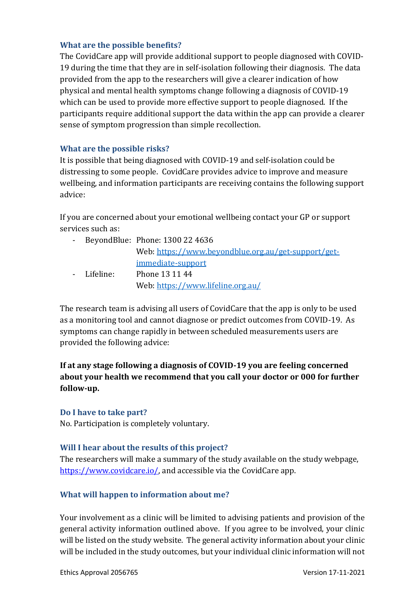### **What are the possible benefits?**

The CovidCare app will provide additional support to people diagnosed with COVID-19 during the time that they are in self-isolation following their diagnosis. The data provided from the app to the researchers will give a clearer indication of how physical and mental health symptoms change following a diagnosis of COVID-19 which can be used to provide more effective support to people diagnosed. If the participants require additional support the data within the app can provide a clearer sense of symptom progression than simple recollection.

### **What are the possible risks?**

It is possible that being diagnosed with COVID-19 and self-isolation could be distressing to some people. CovidCare provides advice to improve and measure wellbeing, and information participants are receiving contains the following support advice:

If you are concerned about your emotional wellbeing contact your GP or support services such as:

|             | - BeyondBlue: Phone: 1300 22 4636                   |
|-------------|-----------------------------------------------------|
|             | Web: https://www.beyondblue.org.au/get-support/get- |
|             | immediate-support                                   |
| - Lifeline: | Phone 13 11 44                                      |
|             | Web: https://www.lifeline.org.au/                   |

The research team is advising all users of CovidCare that the app is only to be used as a monitoring tool and cannot diagnose or predict outcomes from COVID-19. As symptoms can change rapidly in between scheduled measurements users are provided the following advice:

# **If at any stage following a diagnosis of COVID-19 you are feeling concerned about your health we recommend that you call your doctor or 000 for further follow-up.**

### **Do I have to take part?**

No. Participation is completely voluntary.

# **Will I hear about the results of this project?**

The researchers will make a summary of the study available on the study webpage, [https://www.covidcare.io/,](https://www.covidcare.io/) and accessible via the CovidCare app.

# **What will happen to information about me?**

Your involvement as a clinic will be limited to advising patients and provision of the general activity information outlined above. If you agree to be involved, your clinic will be listed on the study website. The general activity information about your clinic will be included in the study outcomes, but your individual clinic information will not